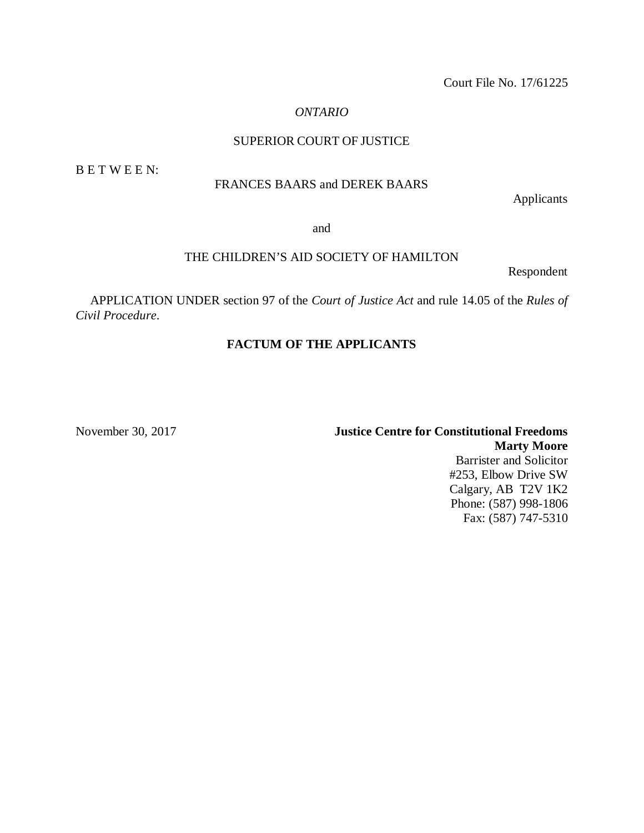Court File No. 17/61225

# *ONTARIO*

# SUPERIOR COURT OF JUSTICE

B E T W E E N:

# FRANCES BAARS and DEREK BAARS

Applicants

and

## THE CHILDREN'S AID SOCIETY OF HAMILTON

Respondent

APPLICATION UNDER section 97 of the *Court of Justice Act* and rule 14.05 of the *Rules of Civil Procedure*.

# **FACTUM OF THE APPLICANTS**

November 30, 2017 **Justice Centre for Constitutional Freedoms Marty Moore** Barrister and Solicitor #253, Elbow Drive SW Calgary, AB T2V 1K2 Phone: (587) 998-1806 Fax: (587) 747-5310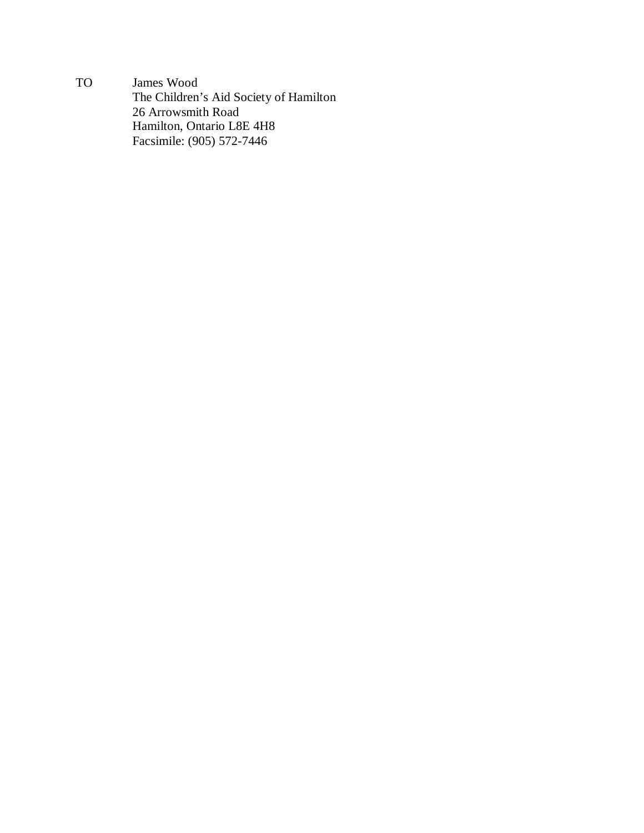TO James Wood The Children's Aid Society of Hamilton 26 Arrowsmith Road Hamilton, Ontario L8E 4H8 Facsimile: (905) 572-7446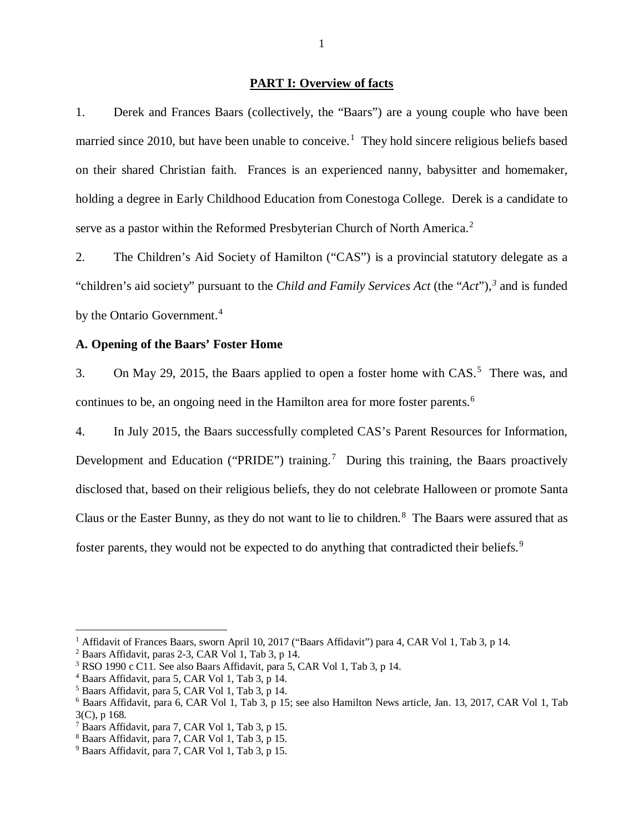#### **PART I: Overview of facts**

<span id="page-3-0"></span>1. Derek and Frances Baars (collectively, the "Baars") are a young couple who have been married since 20[1](#page-3-2)0, but have been unable to conceive.<sup>1</sup> They hold sincere religious beliefs based on their shared Christian faith. Frances is an experienced nanny, babysitter and homemaker, holding a degree in Early Childhood Education from Conestoga College. Derek is a candidate to serve as a pastor within the Reformed Presbyterian Church of North America.<sup>[2](#page-3-3)</sup>

2. The Children's Aid Society of Hamilton ("CAS") is a provincial statutory delegate as a "children's aid society" pursuant to the *Child and Family Services Act* (the "*Act*"), *[3](#page-3-4)* and is funded by the Ontario Government.<sup>[4](#page-3-5)</sup>

### <span id="page-3-1"></span>**A. Opening of the Baars' Foster Home**

3. On May 29, 201[5](#page-3-6), the Baars applied to open a foster home with CAS.<sup>5</sup> There was, and continues to be, an ongoing need in the Hamilton area for more foster parents.<sup>[6](#page-3-7)</sup>

4. In July 2015, the Baars successfully completed CAS's Parent Resources for Information, Development and Education ("PRIDE") training.<sup>[7](#page-3-8)</sup> During this training, the Baars proactively disclosed that, based on their religious beliefs, they do not celebrate Halloween or promote Santa Claus or the Easter Bunny, as they do not want to lie to children.<sup>[8](#page-3-9)</sup> The Baars were assured that as foster parents, they would not be expected to do anything that contradicted their beliefs.<sup>[9](#page-3-10)</sup>

<span id="page-3-2"></span><sup>&</sup>lt;sup>1</sup> Affidavit of Frances Baars, sworn April 10, 2017 ("Baars Affidavit") para 4, CAR Vol 1, Tab 3, p 14.

<span id="page-3-3"></span><sup>2</sup> Baars Affidavit, paras 2-3, CAR Vol 1, Tab 3, p 14.

<span id="page-3-4"></span><sup>&</sup>lt;sup>3</sup> RSO 1990 c C11. See also Baars Affidavit, para 5, CAR Vol 1, Tab 3, p 14.

<span id="page-3-5"></span><sup>4</sup> Baars Affidavit, para 5, CAR Vol 1, Tab 3, p 14.

<span id="page-3-6"></span><sup>5</sup> Baars Affidavit, para 5, CAR Vol 1, Tab 3, p 14.

<span id="page-3-7"></span><sup>6</sup> Baars Affidavit, para 6, CAR Vol 1, Tab 3, p 15; see also Hamilton News article, Jan. 13, 2017, CAR Vol 1, Tab 3(C), p 168.

<span id="page-3-8"></span><sup>7</sup> Baars Affidavit, para 7, CAR Vol 1, Tab 3, p 15.

<span id="page-3-9"></span><sup>8</sup> Baars Affidavit, para 7, CAR Vol 1, Tab 3, p 15.

<span id="page-3-10"></span><sup>9</sup> Baars Affidavit, para 7, CAR Vol 1, Tab 3, p 15.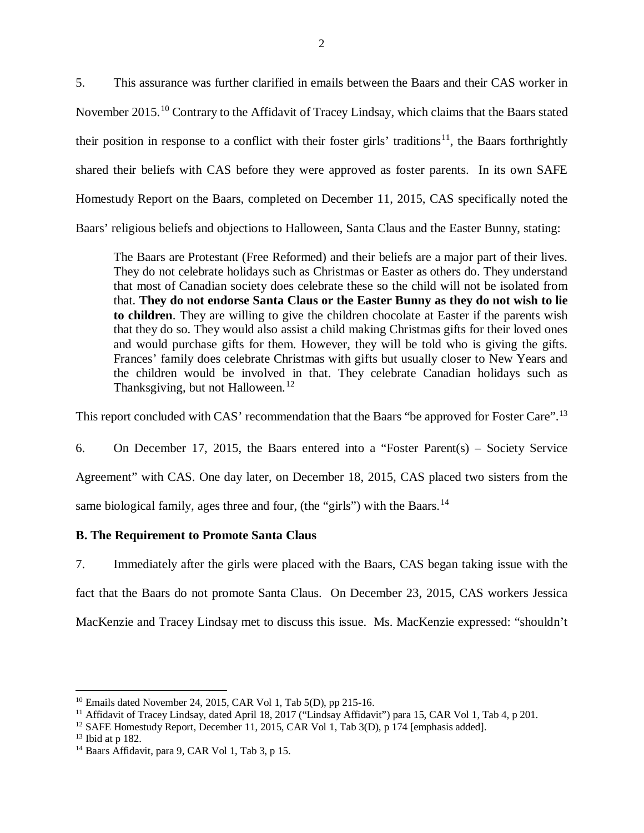5. This assurance was further clarified in emails between the Baars and their CAS worker in November 2015.[10](#page-4-1) Contrary to the Affidavit of Tracey Lindsay, which claims that the Baars stated their position in response to a conflict with their foster girls' traditions<sup>[11](#page-4-2)</sup>, the Baars forthrightly shared their beliefs with CAS before they were approved as foster parents. In its own SAFE Homestudy Report on the Baars, completed on December 11, 2015, CAS specifically noted the Baars' religious beliefs and objections to Halloween, Santa Claus and the Easter Bunny, stating:

The Baars are Protestant (Free Reformed) and their beliefs are a major part of their lives. They do not celebrate holidays such as Christmas or Easter as others do. They understand that most of Canadian society does celebrate these so the child will not be isolated from that. **They do not endorse Santa Claus or the Easter Bunny as they do not wish to lie to children**. They are willing to give the children chocolate at Easter if the parents wish that they do so. They would also assist a child making Christmas gifts for their loved ones and would purchase gifts for them. However, they will be told who is giving the gifts. Frances' family does celebrate Christmas with gifts but usually closer to New Years and the children would be involved in that. They celebrate Canadian holidays such as Thanksgiving, but not Halloween.<sup>[12](#page-4-3)</sup>

This report concluded with CAS' recommendation that the Baars "be approved for Foster Care".<sup>[13](#page-4-4)</sup>

6. On December 17, 2015, the Baars entered into a "Foster Parent(s) – Society Service Agreement" with CAS. One day later, on December 18, 2015, CAS placed two sisters from the same biological family, ages three and four, (the "girls") with the Baars.<sup>[14](#page-4-5)</sup>

# <span id="page-4-0"></span>**B. The Requirement to Promote Santa Claus**

7. Immediately after the girls were placed with the Baars, CAS began taking issue with the fact that the Baars do not promote Santa Claus. On December 23, 2015, CAS workers Jessica MacKenzie and Tracey Lindsay met to discuss this issue. Ms. MacKenzie expressed: "shouldn't

 $10$  Emails dated November 24, 2015, CAR Vol 1, Tab 5(D), pp 215-16.  $\overline{a}$ 

<span id="page-4-2"></span><span id="page-4-1"></span><sup>&</sup>lt;sup>11</sup> Affidavit of Tracey Lindsay, dated April 18, 2017 ("Lindsay Affidavit") para 15, CAR Vol 1, Tab 4, p 201.

<span id="page-4-3"></span><sup>&</sup>lt;sup>12</sup> SAFE Homestudy Report, December 11, 2015, CAR Vol 1, Tab 3(D), p 174 [emphasis added].

<span id="page-4-4"></span><sup>13</sup> Ibid at p 182.

<span id="page-4-5"></span><sup>&</sup>lt;sup>14</sup> Baars Affidavit, para 9, CAR Vol 1, Tab 3, p 15.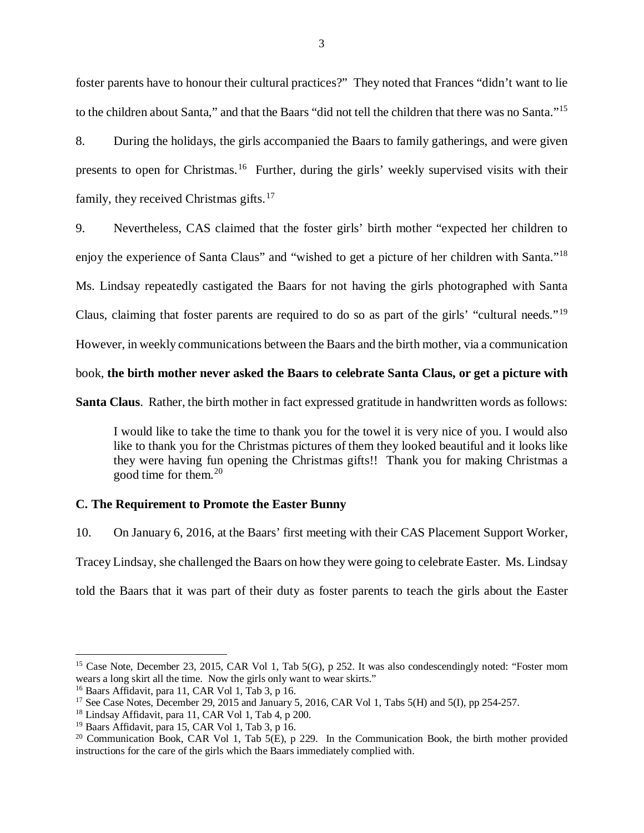foster parents have to honour their cultural practices?" They noted that Frances "didn't want to lie to the children about Santa," and that the Baars "did not tell the children that there was no Santa."[15](#page-5-1)

8. During the holidays, the girls accompanied the Baars to family gatherings, and were given presents to open for Christmas.<sup>16</sup> Further, during the girls' weekly supervised visits with their family, they received Christmas gifts. $17$ 

9. Nevertheless, CAS claimed that the foster girls' birth mother "expected her children to enjoy the experience of Santa Claus" and "wished to get a picture of her children with Santa."[18](#page-5-4) Ms. Lindsay repeatedly castigated the Baars for not having the girls photographed with Santa Claus, claiming that foster parents are required to do so as part of the girls' "cultural needs."<sup>[19](#page-5-5)</sup> However, in weekly communications between the Baars and the birth mother, via a communication book, **the birth mother never asked the Baars to celebrate Santa Claus, or get a picture with** 

**Santa Claus**. Rather, the birth mother in fact expressed gratitude in handwritten words as follows:

I would like to take the time to thank you for the towel it is very nice of you. I would also like to thank you for the Christmas pictures of them they looked beautiful and it looks like they were having fun opening the Christmas gifts!! Thank you for making Christmas a good time for them.[20](#page-5-6)

### <span id="page-5-0"></span>**C. The Requirement to Promote the Easter Bunny**

10. On January 6, 2016, at the Baars' first meeting with their CAS Placement Support Worker, Tracey Lindsay, she challenged the Baars on how they were going to celebrate Easter. Ms. Lindsay told the Baars that it was part of their duty as foster parents to teach the girls about the Easter

<span id="page-5-1"></span><sup>&</sup>lt;sup>15</sup> Case Note, December 23, 2015, CAR Vol 1, Tab 5(G), p 252. It was also condescendingly noted: "Foster mom wears a long skirt all the time. Now the girls only want to wear skirts."

<span id="page-5-2"></span><sup>16</sup> Baars Affidavit, para 11, CAR Vol 1, Tab 3, p 16.

<span id="page-5-3"></span><sup>&</sup>lt;sup>17</sup> See Case Notes, December 29, 2015 and January 5, 2016, CAR Vol 1, Tabs 5(H) and 5(I), pp 254-257.

<span id="page-5-4"></span> $18$  Lindsay Affidavit, para 11, CAR Vol 1, Tab 4, p 200.

<sup>19</sup> Baars Affidavit, para 15, CAR Vol 1, Tab 3, p 16.

<span id="page-5-6"></span><span id="page-5-5"></span><sup>&</sup>lt;sup>20</sup> Communication Book, CAR Vol 1, Tab  $5(E)$ , p 229. In the Communication Book, the birth mother provided instructions for the care of the girls which the Baars immediately complied with.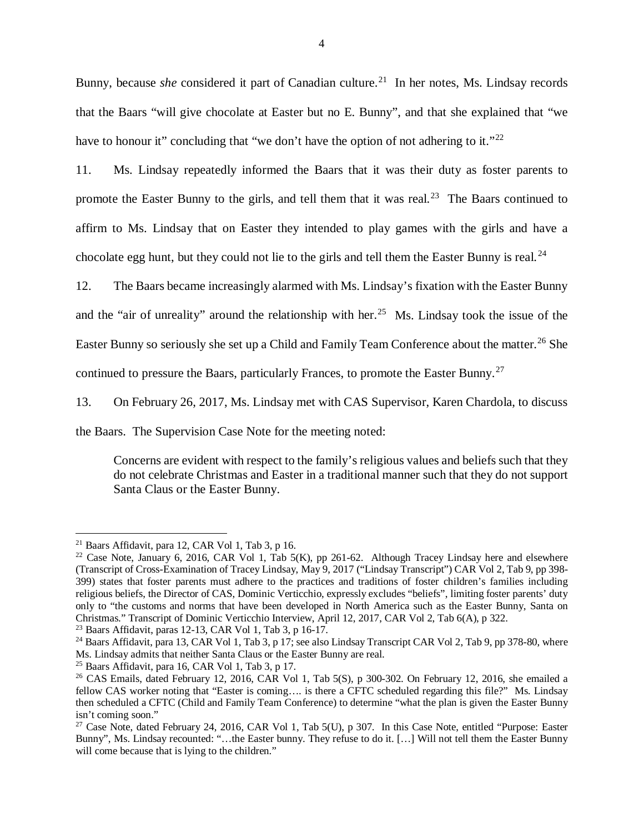Bunny, because *she* considered it part of Canadian culture.<sup>[21](#page-6-0)</sup> In her notes, Ms. Lindsay records that the Baars "will give chocolate at Easter but no E. Bunny", and that she explained that "we have to honour it" concluding that "we don't have the option of not adhering to it."<sup>[22](#page-6-1)</sup>

11. Ms. Lindsay repeatedly informed the Baars that it was their duty as foster parents to promote the Easter Bunny to the girls, and tell them that it was real.<sup>23</sup> The Baars continued to affirm to Ms. Lindsay that on Easter they intended to play games with the girls and have a chocolate egg hunt, but they could not lie to the girls and tell them the Easter Bunny is real.<sup>[24](#page-6-3)</sup>

12. The Baars became increasingly alarmed with Ms. Lindsay's fixation with the Easter Bunny and the "air of unreality" around the relationship with her.<sup>[25](#page-6-4)</sup> Ms. Lindsay took the issue of the Easter Bunny so seriously she set up a Child and Family Team Conference about the matter.<sup>[26](#page-6-5)</sup> She continued to pressure the Baars, particularly Frances, to promote the Easter Bunny.<sup>27</sup>

13. On February 26, 2017, Ms. Lindsay met with CAS Supervisor, Karen Chardola, to discuss

the Baars. The Supervision Case Note for the meeting noted:

Concerns are evident with respect to the family's religious values and beliefs such that they do not celebrate Christmas and Easter in a traditional manner such that they do not support Santa Claus or the Easter Bunny.

<span id="page-6-0"></span><sup>&</sup>lt;sup>21</sup> Baars Affidavit, para 12, CAR Vol 1, Tab 3, p 16.

<span id="page-6-1"></span><sup>&</sup>lt;sup>22</sup> Case Note, January 6, 2016, CAR Vol 1, Tab  $5(K)$ , pp 261-62. Although Tracey Lindsay here and elsewhere (Transcript of Cross-Examination of Tracey Lindsay, May 9, 2017 ("Lindsay Transcript") CAR Vol 2, Tab 9, pp 398- 399) states that foster parents must adhere to the practices and traditions of foster children's families including religious beliefs, the Director of CAS, Dominic Verticchio, expressly excludes "beliefs", limiting foster parents' duty only to "the customs and norms that have been developed in North America such as the Easter Bunny, Santa on Christmas." Transcript of Dominic Verticchio Interview, April 12, 2017, CAR Vol 2, Tab 6(A), p 322. 23 Baars Affidavit, paras 12-13, CAR Vol 1, Tab 3, p 16-17.

<span id="page-6-2"></span>

<span id="page-6-3"></span><sup>&</sup>lt;sup>24</sup> Baars Affidavit, para 13, CAR Vol 1, Tab 3, p 17; see also Lindsay Transcript CAR Vol 2, Tab 9, pp 378-80, where Ms. Lindsay admits that neither Santa Claus or the Easter Bunny are real. 25 Baars Affidavit, para 16, CAR Vol 1, Tab 3, p 17.

<span id="page-6-4"></span>

<span id="page-6-5"></span><sup>&</sup>lt;sup>26</sup> CAS Emails, dated February 12, 2016, CAR Vol 1, Tab  $5(S)$ , p  $300-302$ . On February 12, 2016, she emailed a fellow CAS worker noting that "Easter is coming…. is there a CFTC scheduled regarding this file?" Ms. Lindsay then scheduled a CFTC (Child and Family Team Conference) to determine "what the plan is given the Easter Bunny isn't coming soon."

<span id="page-6-6"></span><sup>&</sup>lt;sup>27</sup> Case Note, dated February 24, 2016, CAR Vol 1, Tab 5(U), p 307. In this Case Note, entitled "Purpose: Easter Bunny", Ms. Lindsay recounted: "…the Easter bunny. They refuse to do it. […] Will not tell them the Easter Bunny will come because that is lying to the children."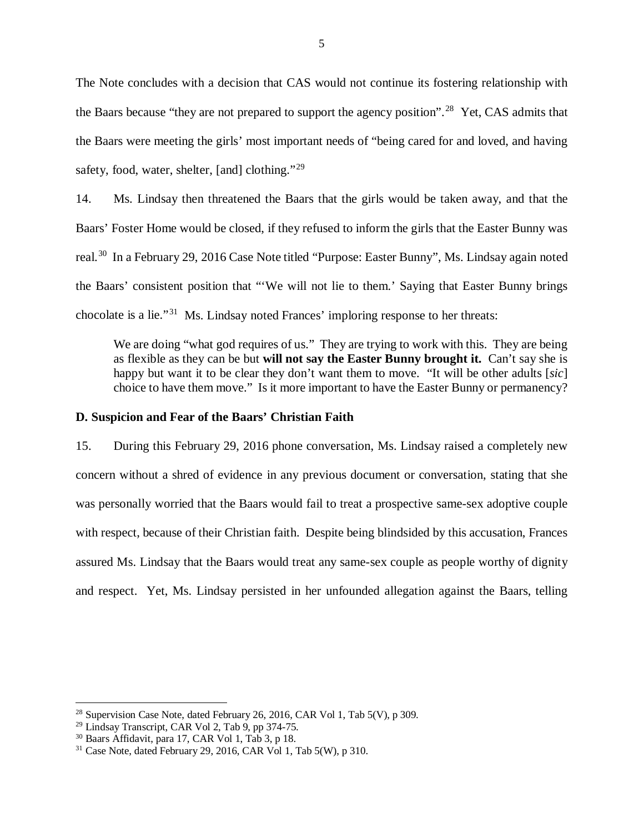The Note concludes with a decision that CAS would not continue its fostering relationship with the Baars because "they are not prepared to support the agency position".<sup>28</sup> Yet, CAS admits that the Baars were meeting the girls' most important needs of "being cared for and loved, and having safety, food, water, shelter, [and] clothing."<sup>[29](#page-7-2)</sup>

14. Ms. Lindsay then threatened the Baars that the girls would be taken away, and that the Baars' Foster Home would be closed, if they refused to inform the girls that the Easter Bunny was real.[30](#page-7-3) In a February 29, 2016 Case Note titled "Purpose: Easter Bunny", Ms. Lindsay again noted the Baars' consistent position that "'We will not lie to them.' Saying that Easter Bunny brings chocolate is a lie."[31](#page-7-4) Ms. Lindsay noted Frances' imploring response to her threats:

We are doing "what god requires of us." They are trying to work with this. They are being as flexible as they can be but **will not say the Easter Bunny brought it.** Can't say she is happy but want it to be clear they don't want them to move. "It will be other adults [*sic*] choice to have them move." Is it more important to have the Easter Bunny or permanency?

### <span id="page-7-0"></span>**D. Suspicion and Fear of the Baars' Christian Faith**

15. During this February 29, 2016 phone conversation, Ms. Lindsay raised a completely new concern without a shred of evidence in any previous document or conversation, stating that she was personally worried that the Baars would fail to treat a prospective same-sex adoptive couple with respect, because of their Christian faith. Despite being blindsided by this accusation, Frances assured Ms. Lindsay that the Baars would treat any same-sex couple as people worthy of dignity and respect. Yet, Ms. Lindsay persisted in her unfounded allegation against the Baars, telling

<sup>&</sup>lt;sup>28</sup> Supervision Case Note, dated February 26, 2016, CAR Vol 1, Tab  $5(V)$ , p 309.

<span id="page-7-2"></span><span id="page-7-1"></span> $29$  Lindsay Transcript, CAR Vol 2, Tab 9, pp 374-75.

<sup>30</sup> Baars Affidavit, para 17, CAR Vol 1, Tab 3, p 18.

<span id="page-7-4"></span><span id="page-7-3"></span><sup>&</sup>lt;sup>31</sup> Case Note, dated February 29, 2016, CAR Vol 1, Tab 5(W), p 310.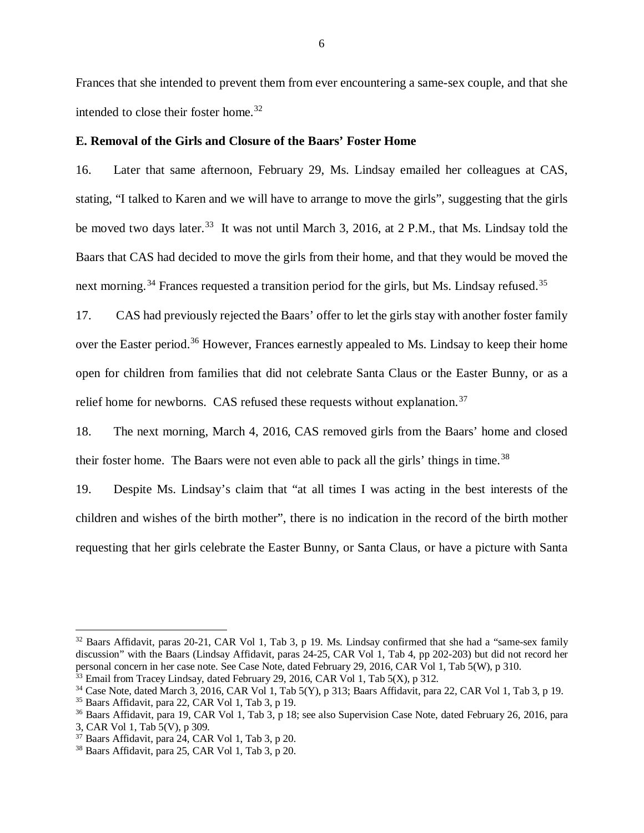Frances that she intended to prevent them from ever encountering a same-sex couple, and that she intended to close their foster home.<sup>[32](#page-8-1)</sup>

### <span id="page-8-0"></span>**E. Removal of the Girls and Closure of the Baars' Foster Home**

16. Later that same afternoon, February 29, Ms. Lindsay emailed her colleagues at CAS, stating, "I talked to Karen and we will have to arrange to move the girls", suggesting that the girls be moved two days later.<sup>[33](#page-8-2)</sup> It was not until March 3, 2016, at 2 P.M., that Ms. Lindsay told the Baars that CAS had decided to move the girls from their home, and that they would be moved the next morning.<sup>[34](#page-8-3)</sup> Frances requested a transition period for the girls, but Ms. Lindsay refused.<sup>[35](#page-8-4)</sup>

17. CAS had previously rejected the Baars' offer to let the girls stay with another foster family over the Easter period.<sup>[36](#page-8-5)</sup> However, Frances earnestly appealed to Ms. Lindsay to keep their home open for children from families that did not celebrate Santa Claus or the Easter Bunny, or as a relief home for newborns. CAS refused these requests without explanation.<sup>[37](#page-8-6)</sup>

18. The next morning, March 4, 2016, CAS removed girls from the Baars' home and closed their foster home. The Baars were not even able to pack all the girls' things in time.<sup>[38](#page-8-7)</sup>

19. Despite Ms. Lindsay's claim that "at all times I was acting in the best interests of the children and wishes of the birth mother", there is no indication in the record of the birth mother requesting that her girls celebrate the Easter Bunny, or Santa Claus, or have a picture with Santa

<span id="page-8-1"></span><sup>32</sup> Baars Affidavit, paras 20-21, CAR Vol 1, Tab 3, p 19. Ms. Lindsay confirmed that she had a "same-sex family discussion" with the Baars (Lindsay Affidavit, paras 24-25, CAR Vol 1, Tab 4, pp 202-203) but did not record her personal concern in her case note. See Case Note, dated February 29, 2016, CAR Vol 1, Tab 5(W), p 310.

<span id="page-8-2"></span><sup>&</sup>lt;sup>33</sup> Email from Tracey Lindsay, dated February 29, 2016, CAR Vol 1, Tab 5(X), p 312.

<span id="page-8-3"></span> $34$  Case Note, dated March 3, 2016, CAR Vol 1, Tab  $5(Y)$ , p 313; Baars Affidavit, para 22, CAR Vol 1, Tab 3, p 19.

<span id="page-8-4"></span><sup>35</sup> Baars Affidavit, para 22, CAR Vol 1, Tab 3, p 19.

<span id="page-8-5"></span><sup>36</sup> Baars Affidavit, para 19, CAR Vol 1, Tab 3, p 18; see also Supervision Case Note, dated February 26, 2016, para 3, CAR Vol 1, Tab 5(V), p 309.

<span id="page-8-6"></span> $37$  Baars Affidavit, para 24, CAR Vol 1, Tab 3, p 20.

<span id="page-8-7"></span><sup>38</sup> Baars Affidavit, para 25, CAR Vol 1, Tab 3, p 20.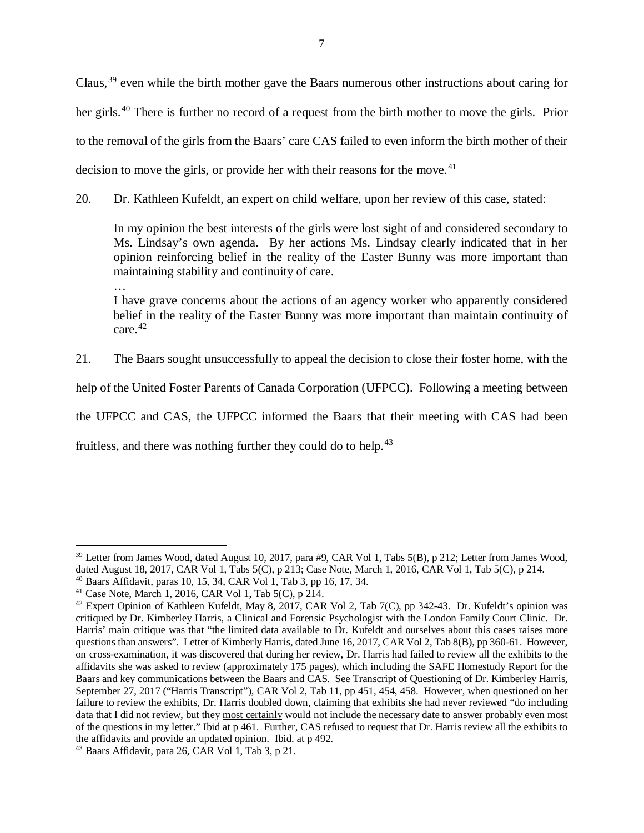Claus,<sup>[39](#page-9-0)</sup> even while the birth mother gave the Baars numerous other instructions about caring for her girls.<sup>[40](#page-9-1)</sup> There is further no record of a request from the birth mother to move the girls. Prior to the removal of the girls from the Baars' care CAS failed to even inform the birth mother of their decision to move the girls, or provide her with their reasons for the move.<sup>[41](#page-9-2)</sup>

20. Dr. Kathleen Kufeldt, an expert on child welfare, upon her review of this case, stated:

In my opinion the best interests of the girls were lost sight of and considered secondary to Ms. Lindsay's own agenda. By her actions Ms. Lindsay clearly indicated that in her opinion reinforcing belief in the reality of the Easter Bunny was more important than maintaining stability and continuity of care.

… I have grave concerns about the actions of an agency worker who apparently considered belief in the reality of the Easter Bunny was more important than maintain continuity of care. $42$ 

21. The Baars sought unsuccessfully to appeal the decision to close their foster home, with the

help of the United Foster Parents of Canada Corporation (UFPCC). Following a meeting between

the UFPCC and CAS, the UFPCC informed the Baars that their meeting with CAS had been

fruitless, and there was nothing further they could do to help.<sup>[43](#page-9-4)</sup>

<span id="page-9-0"></span> $39$  Letter from James Wood, dated August 10, 2017, para #9, CAR Vol 1, Tabs 5(B), p 212; Letter from James Wood, dated August 18, 2017, CAR Vol 1, Tabs 5(C), p 213; Case Note, March 1, 2016, CAR Vol 1, Tab 5(C), p 214. <sup>40</sup> Baars Affidavit, paras 10, 15, 34, CAR Vol 1, Tab 3, pp 16, 17, 34.

<span id="page-9-2"></span><span id="page-9-1"></span><sup>&</sup>lt;sup>41</sup> Case Note, March 1, 2016, CAR Vol 1, Tab  $5(C)$ , p  $214$ .

<span id="page-9-3"></span> $42$  Expert Opinion of Kathleen Kufeldt, May 8, 2017, CAR Vol 2, Tab 7(C), pp 342-43. Dr. Kufeldt's opinion was critiqued by Dr. Kimberley Harris, a Clinical and Forensic Psychologist with the London Family Court Clinic. Dr. Harris' main critique was that "the limited data available to Dr. Kufeldt and ourselves about this cases raises more questions than answers". Letter of Kimberly Harris, dated June 16, 2017, CAR Vol 2, Tab 8(B), pp 360-61. However, on cross-examination, it was discovered that during her review, Dr. Harris had failed to review all the exhibits to the affidavits she was asked to review (approximately 175 pages), which including the SAFE Homestudy Report for the Baars and key communications between the Baars and CAS. See Transcript of Questioning of Dr. Kimberley Harris, September 27, 2017 ("Harris Transcript"), CAR Vol 2, Tab 11, pp 451, 454, 458. However, when questioned on her failure to review the exhibits, Dr. Harris doubled down, claiming that exhibits she had never reviewed "do including data that I did not review, but they most certainly would not include the necessary date to answer probably even most of the questions in my letter." Ibid at p 461. Further, CAS refused to request that Dr. Harris review all the exhibits to the affidavits and provide an updated opinion. Ibid. at p 492.

<span id="page-9-4"></span><sup>43</sup> Baars Affidavit, para 26, CAR Vol 1, Tab 3, p 21.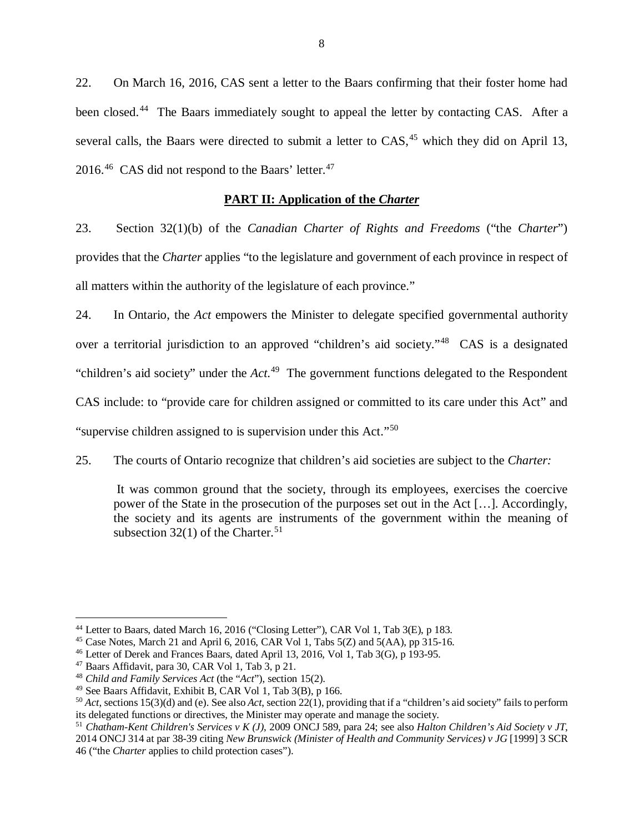22. On March 16, 2016, CAS sent a letter to the Baars confirming that their foster home had been closed.<sup>[44](#page-10-1)</sup> The Baars immediately sought to appeal the letter by contacting CAS. After a several calls, the Baars were directed to submit a letter to  $CAS$ ,<sup>[45](#page-10-2)</sup> which they did on April 13, 2016.<sup>46</sup> CAS did not respond to the Baars' letter.<sup>[47](#page-10-4)</sup>

## **PART II: Application of the** *Charter*

<span id="page-10-0"></span>23. Section 32(1)(b) of the *Canadian Charter of Rights and Freedoms* ("the *Charter*") provides that the *Charter* applies "to the legislature and government of each province in respect of all matters within the authority of the legislature of each province."

24. In Ontario, the *Act* empowers the Minister to delegate specified governmental authority over a territorial jurisdiction to an approved "children's aid society."[48](#page-10-5) CAS is a designated "children's aid society" under the *Act*. [49](#page-10-6) The government functions delegated to the Respondent CAS include: to "provide care for children assigned or committed to its care under this Act" and "supervise children assigned to is supervision under this Act."[50](#page-10-7)

25. The courts of Ontario recognize that children's aid societies are subject to the *Charter:*

It was common ground that the society, through its employees, exercises the coercive power of the [State in the prosecution of the purposes set out in the Act](http://nextcanada.westlaw.com/Link/Document/FullText?findType=Y&pubNum=0008051&cite=1992CANLIIAU4042&originatingDoc=I7b5c29af8d752e47e0440003bacbe8c1&refType=IC&originationContext=document&vr=3.0&rs=cblt1.0&transitionType=DocumentItem&contextData=(sc.UserEnteredCitation)) […]. Accordingly, the society and its agents are instruments of the government within the meaning of subsection  $32(1)$  of the Charter.<sup>[51](#page-10-8)</sup>

<span id="page-10-1"></span><sup>44</sup> Letter to Baars, dated March 16, 2016 ("Closing Letter"), CAR Vol 1, Tab 3(E), p 183.

<span id="page-10-2"></span><sup>45</sup> Case Notes, March 21 and April 6, 2016, CAR Vol 1, Tabs 5(Z) and 5(AA), pp 315-16.

<span id="page-10-3"></span><sup>46</sup> Letter of Derek and Frances Baars, dated April 13, 2016, Vol 1, Tab 3(G), p 193-95.

<span id="page-10-4"></span> $47$  Baars Affidavit, para 30, CAR Vol 1, Tab 3, p 21.

<span id="page-10-5"></span><sup>48</sup> *Child and Family Services Act* (the "*Act*"), section 15(2).

<span id="page-10-6"></span><sup>49</sup> See Baars Affidavit, Exhibit B, CAR Vol 1, Tab 3(B), p 166.

<span id="page-10-7"></span><sup>50</sup> *Act*, sections 15(3)(d) and (e). See also *Act*, section 22(1), providing that if a "children's aid society" fails to perform its delegated functions or directives, the Minister may operate and manage the society.

<span id="page-10-8"></span><sup>51</sup> *Chatham-Kent Children's Services v K (J)*, 2009 ONCJ 589, para 24; see also *Halton Children's Aid Society v JT*, 2014 ONCJ 314 at par 38-39 citing *New Brunswick (Minister of Health and Community Services) v JG* [1999] 3 SCR 46 ("the *Charter* applies to child protection cases").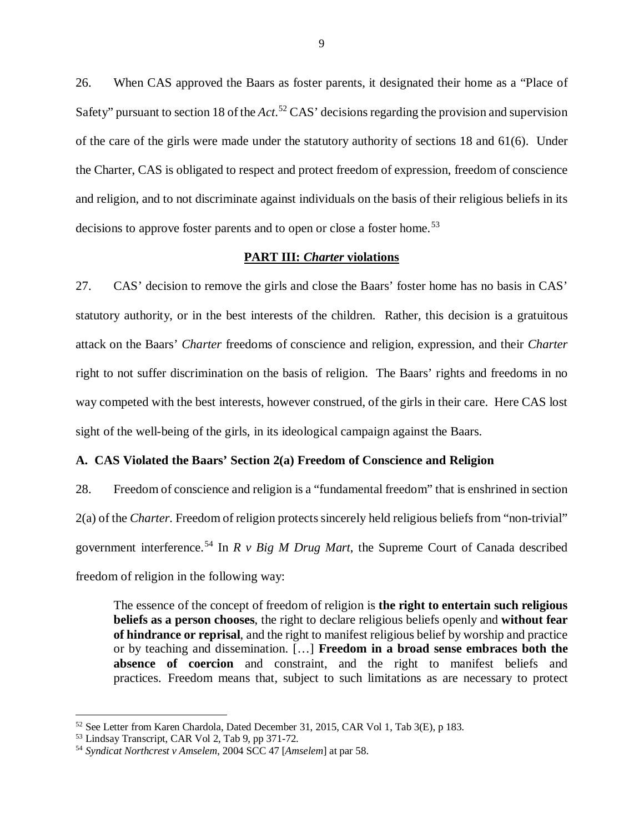26. When CAS approved the Baars as foster parents, it designated their home as a "Place of Safety" pursuant to section 18 of the *Act*. [52](#page-11-2) CAS' decisions regarding the provision and supervision of the care of the girls were made under the statutory authority of sections 18 and 61(6). Under the Charter, CAS is obligated to respect and protect freedom of expression, freedom of conscience and religion, and to not discriminate against individuals on the basis of their religious beliefs in its decisions to approve foster parents and to open or close a foster home.<sup>[53](#page-11-3)</sup>

### **PART III:** *Charter* **violations**

<span id="page-11-0"></span>27. CAS' decision to remove the girls and close the Baars' foster home has no basis in CAS' statutory authority, or in the best interests of the children. Rather, this decision is a gratuitous attack on the Baars' *Charter* freedoms of conscience and religion, expression, and their *Charter* right to not suffer discrimination on the basis of religion. The Baars' rights and freedoms in no way competed with the best interests, however construed, of the girls in their care. Here CAS lost sight of the well-being of the girls, in its ideological campaign against the Baars.

### <span id="page-11-1"></span>**A. CAS Violated the Baars' Section 2(a) Freedom of Conscience and Religion**

28. Freedom of conscience and religion is a "fundamental freedom" that is enshrined in section 2(a) of the *Charter*. Freedom of religion protects sincerely held religious beliefs from "non-trivial" government interference.[54](#page-11-4) In *R v Big M Drug Mart*, the Supreme Court of Canada described freedom of religion in the following way:

The essence of the concept of freedom of religion is **the right to entertain such religious beliefs as a person chooses**, the right to declare religious beliefs openly and **without fear of hindrance or reprisal**, and the right to manifest religious belief by worship and practice or by teaching and dissemination. […] **Freedom in a broad sense embraces both the absence of coercion** and constraint, and the right to manifest beliefs and practices. Freedom means that, subject to such limitations as are necessary to protect

<span id="page-11-2"></span><sup>52</sup> See Letter from Karen Chardola, Dated December 31, 2015, CAR Vol 1, Tab 3(E), p 183.

<span id="page-11-3"></span><sup>53</sup> Lindsay Transcript, CAR Vol 2, Tab 9, pp 371-72.

<span id="page-11-4"></span><sup>54</sup> *Syndicat Northcrest v Amselem*, 2004 SCC 47 [*Amselem*] at par 58.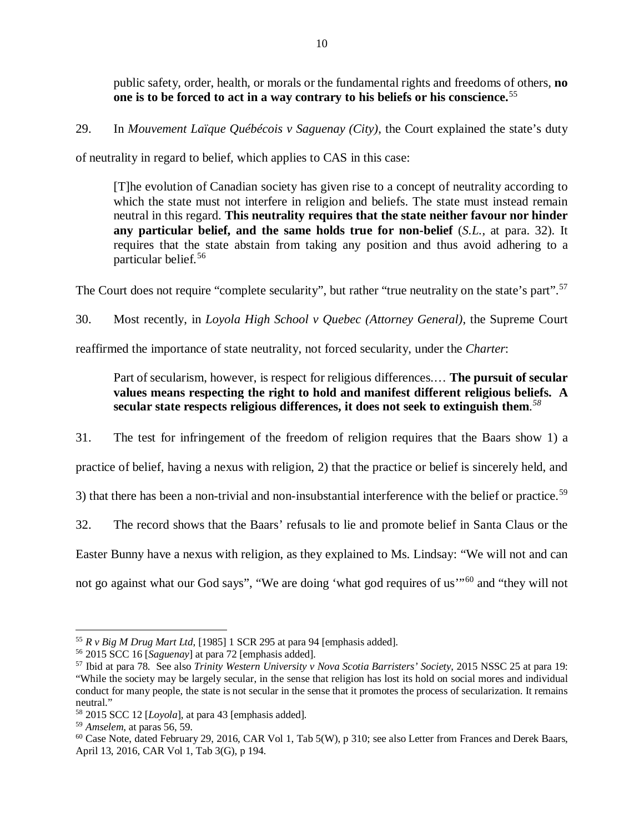public safety, order, health, or morals or the fundamental rights and freedoms of others, **no one is to be forced to act in a way contrary to his beliefs or his conscience.**[55](#page-12-0)

29. In *Mouvement Laïque Québécois v Saguenay (City)*, the Court explained the state's duty

of neutrality in regard to belief, which applies to CAS in this case:

[T]he evolution of Canadian society has given rise to a concept of neutrality according to which the state must not interfere in religion and beliefs. The state must instead remain neutral in this regard. **This neutrality requires that the state neither favour nor hinder any particular belief, and the same holds true for non-belief** (*S.L.*, at para. 32). It requires that the state abstain from taking any position and thus avoid adhering to a particular belief.[56](#page-12-1)

The Court does not require "complete secularity", but rather "true neutrality on the state's part".<sup>[57](#page-12-2)</sup>

30. Most recently, in *Loyola High School v Quebec (Attorney General)*, the Supreme Court

reaffirmed the importance of state neutrality, not forced secularity, under the *Charter*:

# Part of secularism, however, is respect for religious differences.… **The pursuit of secular values means respecting the right to hold and manifest different religious beliefs. A secular state respects religious differences, it does not seek to extinguish them**. *[58](#page-12-3)*

31. The test for infringement of the freedom of religion requires that the Baars show 1) a

practice of belief, having a nexus with religion, 2) that the practice or belief is sincerely held, and

3) that there has been a non-trivial and non-insubstantial interference with the belief or practice.<sup>[59](#page-12-4)</sup>

32. The record shows that the Baars' refusals to lie and promote belief in Santa Claus or the

Easter Bunny have a nexus with religion, as they explained to Ms. Lindsay: "We will not and can

not go against what our God says", "We are doing 'what god requires of us"<sup>[60](#page-12-5)</sup> and "they will not

<span id="page-12-0"></span><sup>55</sup> *R v Big M Drug Mart Ltd*, [1985] 1 SCR 295 at para 94 [emphasis added].

<span id="page-12-1"></span><sup>56</sup> 2015 SCC 16 [*Saguenay*] at para 72 [emphasis added].

<span id="page-12-2"></span><sup>57</sup> Ibid at para 78. See also *Trinity Western University v Nova Scotia Barristers' Society*, 2015 NSSC 25 at para 19: "While the society may be largely secular, in the sense that religion has lost its hold on social mores and individual conduct for many people, the state is not secular in the sense that it promotes the process of secularization. It remains neutral."

<span id="page-12-3"></span><sup>58</sup> 2015 SCC 12 [*Loyola*], at para 43 [emphasis added].

<span id="page-12-4"></span><sup>59</sup> *Amselem*, at paras 56, 59.

<span id="page-12-5"></span><sup>60</sup> Case Note, dated February 29, 2016, CAR Vol 1, Tab 5(W), p 310; see also Letter from Frances and Derek Baars, April 13, 2016, CAR Vol 1, Tab 3(G), p 194.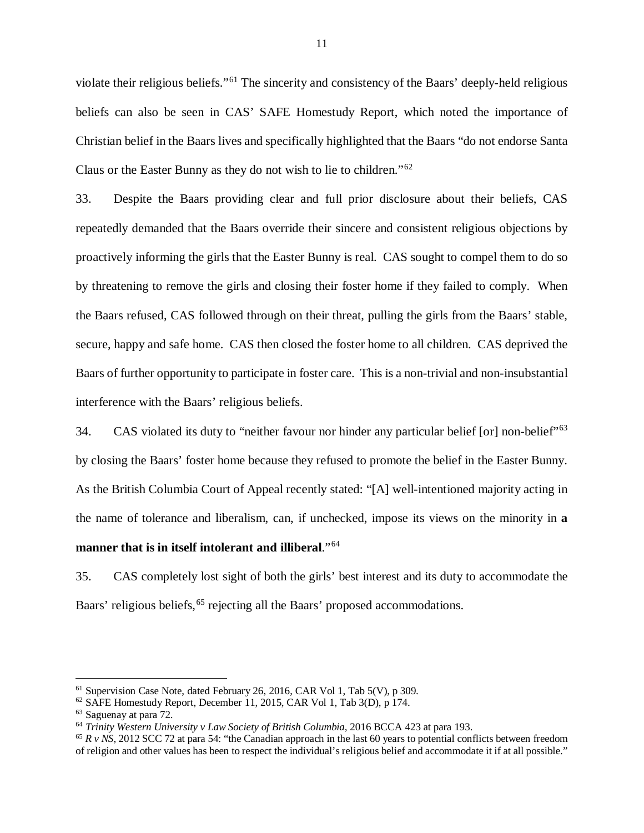violate their religious beliefs."[61](#page-13-0) The sincerity and consistency of the Baars' deeply-held religious beliefs can also be seen in CAS' SAFE Homestudy Report, which noted the importance of Christian belief in the Baars lives and specifically highlighted that the Baars "do not endorse Santa Claus or the Easter Bunny as they do not wish to lie to children."[62](#page-13-1)

33. Despite the Baars providing clear and full prior disclosure about their beliefs, CAS repeatedly demanded that the Baars override their sincere and consistent religious objections by proactively informing the girls that the Easter Bunny is real. CAS sought to compel them to do so by threatening to remove the girls and closing their foster home if they failed to comply. When the Baars refused, CAS followed through on their threat, pulling the girls from the Baars' stable, secure, happy and safe home. CAS then closed the foster home to all children. CAS deprived the Baars of further opportunity to participate in foster care. This is a non-trivial and non-insubstantial interference with the Baars' religious beliefs.

34. CAS violated its duty to "neither favour nor hinder any particular belief [or] non-belief"<sup>[63](#page-13-2)</sup> by closing the Baars' foster home because they refused to promote the belief in the Easter Bunny. As the British Columbia Court of Appeal recently stated: "[A] well-intentioned majority acting in the name of tolerance and liberalism, can, if unchecked, impose its views on the minority in **a manner that is in itself intolerant and illiberal**."[64](#page-13-3)

35. CAS completely lost sight of both the girls' best interest and its duty to accommodate the Baars' religious beliefs,<sup>[65](#page-13-4)</sup> rejecting all the Baars' proposed accommodations.

 $61$  Supervision Case Note, dated February 26, 2016, CAR Vol 1, Tab 5(V), p 309.

<span id="page-13-1"></span><span id="page-13-0"></span><sup>62</sup> SAFE Homestudy Report, December 11, 2015, CAR Vol 1, Tab 3(D), p 174.

<span id="page-13-2"></span> $^{63}$  Saguenay at para 72.<br> $^{64}$  Trinity Western University v Law Society of British Columbia, 2016 BCCA 423 at para 193.

<span id="page-13-4"></span><span id="page-13-3"></span> $65 R$  v NS, 2012 SCC 72 at para 54: "the Canadian approach in the last 60 years to potential conflicts between freedom of religion and other values has been to respect the individual's religious belief and accommodate it if at all possible."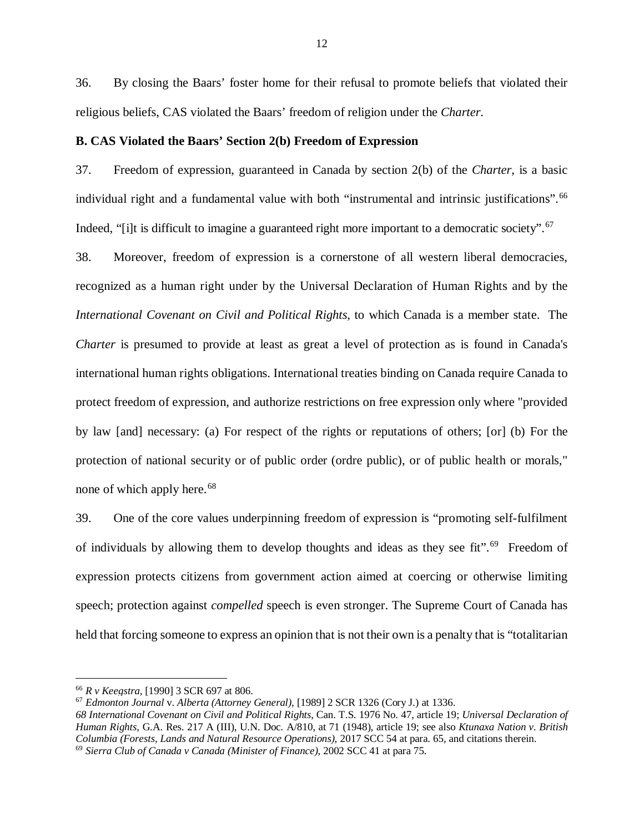36. By closing the Baars' foster home for their refusal to promote beliefs that violated their religious beliefs, CAS violated the Baars' freedom of religion under the *Charter*.

#### <span id="page-14-0"></span>**B. CAS Violated the Baars' Section 2(b) Freedom of Expression**

37. Freedom of expression, guaranteed in Canada by section 2(b) of the *Charter*, is a basic individual right and a fundamental value with both "instrumental and intrinsic justifications".<sup>[66](#page-14-1)</sup> Indeed, "[i]t is difficult to imagine a guaranteed right more important to a democratic society".<sup>[67](#page-14-2)</sup>

38. Moreover, freedom of expression is a cornerstone of all western liberal democracies, recognized as a human right under by the Universal Declaration of Human Rights and by the *International Covenant on Civil and Political Rights*, to which Canada is a member state. The *Charter* is presumed to provide at least as great a level of protection as is found in Canada's international human rights obligations. International treaties binding on Canada require Canada to protect freedom of expression, and authorize restrictions on free expression only where "provided by law [and] necessary: (a) For respect of the rights or reputations of others; [or] (b) For the protection of national security or of public order (ordre public), or of public health or morals," none of which apply here.<sup>[68](#page-14-3)</sup>

39. One of the core values underpinning freedom of expression is "promoting self-fulfilment of individuals by allowing them to develop thoughts and ideas as they see fit".<sup>[69](#page-14-4)</sup> Freedom of expression protects citizens from government action aimed at coercing or otherwise limiting speech; protection against *compelled* speech is even stronger. The Supreme Court of Canada has held that forcing someone to express an opinion that is not their own is a penalty that is "totalitarian

<span id="page-14-1"></span><sup>66</sup> *R v Keegstra*, [1990] 3 SCR 697 at 806.

<span id="page-14-2"></span><sup>67</sup> *Edmonton Journal* v. *Alberta (Attorney General),* [1989] 2 SCR 1326 (Cory J.) at 1336.

<span id="page-14-4"></span><span id="page-14-3"></span>*<sup>68</sup> International Covenant on Civil and Political Rights*, Can. T.S. 1976 No. 47, article 19; *Universal Declaration of Human Rights*, G.A. Res. 217 A (III), U.N. Doc. A/810, at 71 (1948), article 19; see also *Ktunaxa Nation v. British Columbia (Forests, Lands and Natural Resource Operations)*, 2017 SCC 54 at para. 65, and citations therein. <sup>69</sup> *Sierra Club of Canada v Canada (Minister of Finance)*, 2002 SCC 41 at para 75.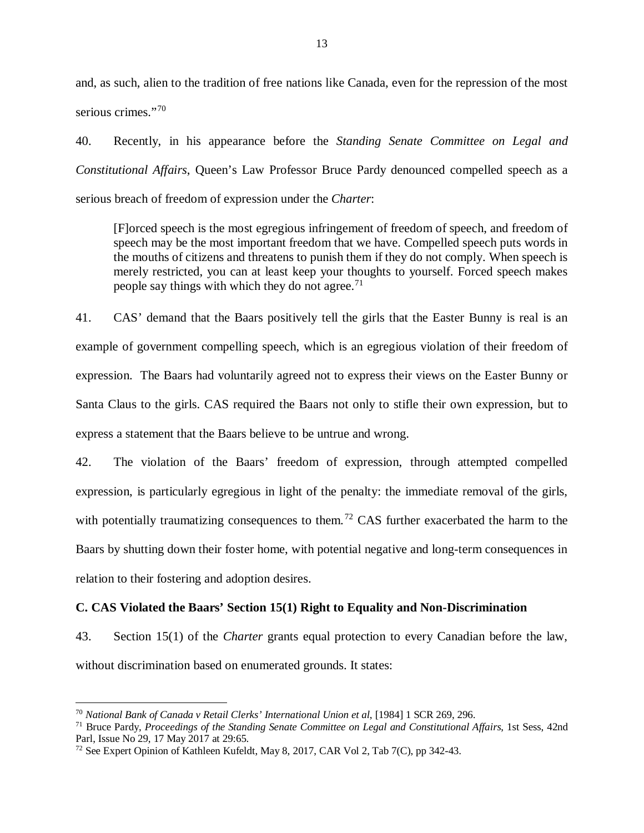and, as such, alien to the tradition of free nations like Canada, even for the repression of the most serious crimes."[70](#page-15-1)

40. Recently, in his appearance before the *Standing Senate Committee on Legal and Constitutional Affairs*, Queen's Law Professor Bruce Pardy denounced compelled speech as a serious breach of freedom of expression under the *Charter*:

[F]orced speech is the most egregious infringement of freedom of speech, and freedom of speech may be the most important freedom that we have. Compelled speech puts words in the mouths of citizens and threatens to punish them if they do not comply. When speech is merely restricted, you can at least keep your thoughts to yourself. Forced speech makes people say things with which they do not agree.<sup>[71](#page-15-2)</sup>

41. CAS' demand that the Baars positively tell the girls that the Easter Bunny is real is an example of government compelling speech, which is an egregious violation of their freedom of expression. The Baars had voluntarily agreed not to express their views on the Easter Bunny or Santa Claus to the girls. CAS required the Baars not only to stifle their own expression, but to express a statement that the Baars believe to be untrue and wrong.

42. The violation of the Baars' freedom of expression, through attempted compelled expression, is particularly egregious in light of the penalty: the immediate removal of the girls, with potentially traumatizing consequences to them.<sup>[72](#page-15-3)</sup> CAS further exacerbated the harm to the Baars by shutting down their foster home, with potential negative and long-term consequences in relation to their fostering and adoption desires.

## <span id="page-15-0"></span>**C. CAS Violated the Baars' Section 15(1) Right to Equality and Non-Discrimination**

43. Section 15(1) of the *Charter* grants equal protection to every Canadian before the law, without discrimination based on enumerated grounds. It states:

<span id="page-15-1"></span><sup>70</sup> *National Bank of Canada v Retail Clerks' International Union et al*, [1984] 1 SCR 269, 296.

<span id="page-15-2"></span><sup>71</sup> Bruce Pardy, *Proceedings of the Standing Senate Committee on Legal and Constitutional Affairs*, 1st Sess, 42nd Parl, Issue No 29, 17 May 2017 at 29:65.

<span id="page-15-3"></span><sup>72</sup> See Expert Opinion of Kathleen Kufeldt, May 8, 2017, CAR Vol 2, Tab 7(C), pp 342-43.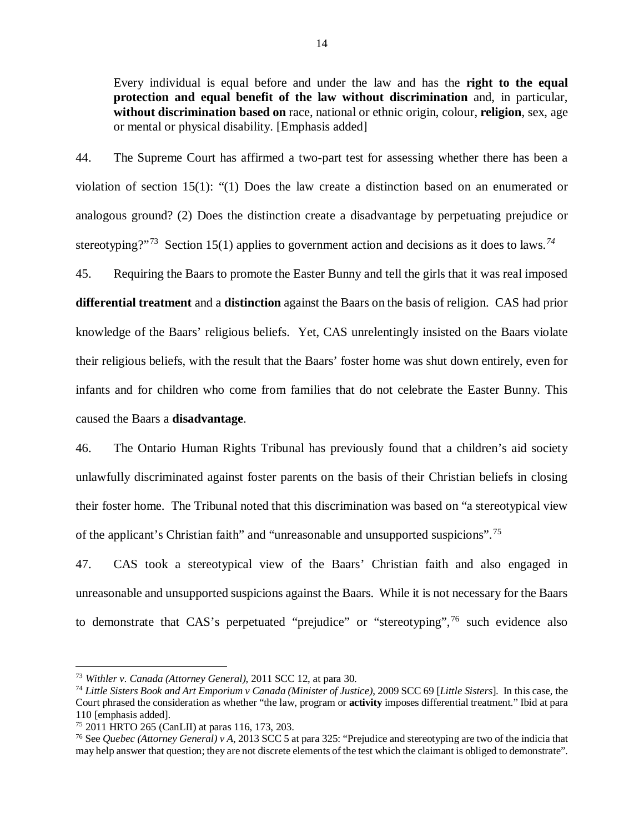Every individual is equal before and under the law and has the **right to the equal protection and equal benefit of the law without discrimination** and, in particular, **without discrimination based on** race, national or ethnic origin, colour, **religion**, sex, age or mental or physical disability. [Emphasis added]

44. The Supreme Court has affirmed a two-part test for assessing whether there has been a violation of section 15(1): "(1) Does the law create a distinction based on an enumerated or analogous ground? (2) Does the distinction create a disadvantage by perpetuating prejudice or stereotyping?"<sup>73</sup> Section 15(1) applies to government action and decisions as it does to laws.<sup>[74](#page-16-1)</sup>

45. Requiring the Baars to promote the Easter Bunny and tell the girls that it was real imposed **differential treatment** and a **distinction** against the Baars on the basis of religion. CAS had prior knowledge of the Baars' religious beliefs. Yet, CAS unrelentingly insisted on the Baars violate their religious beliefs, with the result that the Baars' foster home was shut down entirely, even for infants and for children who come from families that do not celebrate the Easter Bunny. This caused the Baars a **disadvantage**.

46. The Ontario Human Rights Tribunal has previously found that a children's aid society unlawfully discriminated against foster parents on the basis of their Christian beliefs in closing their foster home. The Tribunal noted that this discrimination was based on "a stereotypical view of the applicant's Christian faith" and "unreasonable and unsupported suspicions".<sup>[75](#page-16-2)</sup>

47. CAS took a stereotypical view of the Baars' Christian faith and also engaged in unreasonable and unsupported suspicions against the Baars. While it is not necessary for the Baars to demonstrate that CAS's perpetuated "prejudice" or "stereotyping",<sup>[76](#page-16-3)</sup> such evidence also

<span id="page-16-0"></span><sup>73</sup> *Withler v. Canada (Attorney General)*, 2011 SCC 12, at para 30.

<span id="page-16-1"></span><sup>74</sup> *Little Sisters Book and Art Emporium v Canada (Minister of Justice)*, 2009 SCC 69 [*Little Sisters*]. In this case, the Court phrased the consideration as whether "the law, program or **activity** imposes differential treatment." Ibid at para

<span id="page-16-2"></span> $15$  2011 HRTO 265 (CanLII) at paras 116, 173, 203.

<span id="page-16-3"></span><sup>76</sup> See *Quebec (Attorney General) v A*, 2013 SCC 5 at para 325: "Prejudice and stereotyping are two of the indicia that may help answer that question; they are not discrete elements of the test which the claimant is obliged to demonstrate".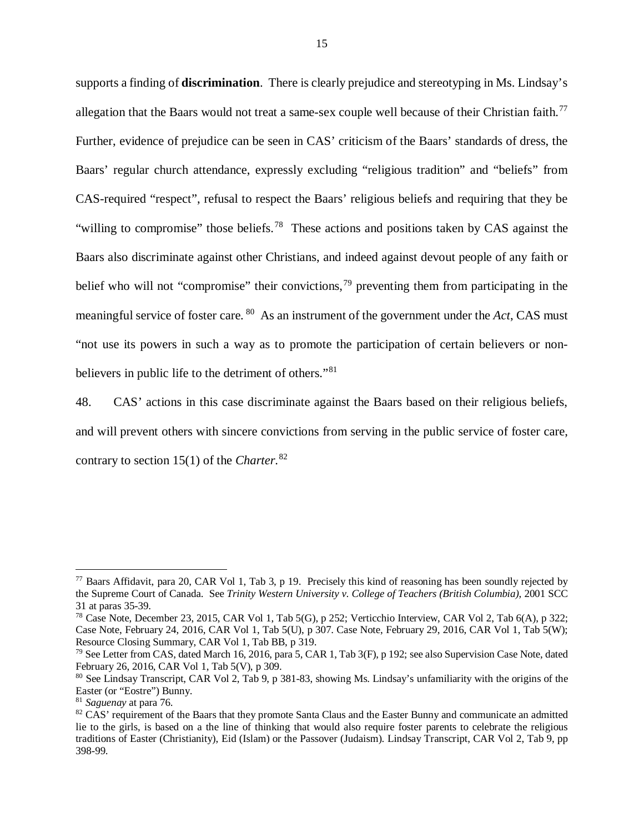supports a finding of **discrimination**. There is clearly prejudice and stereotyping in Ms. Lindsay's allegation that the Baars would not treat a same-sex couple well because of their Christian faith.<sup>[77](#page-17-0)</sup> Further, evidence of prejudice can be seen in CAS' criticism of the Baars' standards of dress, the Baars' regular church attendance, expressly excluding "religious tradition" and "beliefs" from CAS-required "respect", refusal to respect the Baars' religious beliefs and requiring that they be "willing to compromise" those beliefs.<sup>[78](#page-17-1)</sup> These actions and positions taken by CAS against the Baars also discriminate against other Christians, and indeed against devout people of any faith or belief who will not "compromise" their convictions,<sup>[79](#page-17-2)</sup> preventing them from participating in the meaningful service of foster care. [80](#page-17-3) As an instrument of the government under the *Act*, CAS must "not use its powers in such a way as to promote the participation of certain believers or nonbelievers in public life to the detriment of others."[81](#page-17-4) 

48. CAS' actions in this case discriminate against the Baars based on their religious beliefs, and will prevent others with sincere convictions from serving in the public service of foster care, contrary to section 15(1) of the *Charter*. [82](#page-17-5)

<span id="page-17-0"></span> $^{77}$  Baars Affidavit, para 20, CAR Vol 1, Tab 3, p 19. Precisely this kind of reasoning has been soundly rejected by the Supreme Court of Canada. See *Trinity Western University v. College of Teachers (British Columbia)*, 2001 SCC 31 at paras 35-39.

<span id="page-17-1"></span><sup>78</sup> Case Note, December 23, 2015, CAR Vol 1, Tab 5(G), p 252; Verticchio Interview, CAR Vol 2, Tab 6(A), p 322; Case Note, February 24, 2016, CAR Vol 1, Tab 5(U), p 307. Case Note, February 29, 2016, CAR Vol 1, Tab 5(W); Resource Closing Summary, CAR Vol 1, Tab BB, p 319.

<span id="page-17-2"></span><sup>&</sup>lt;sup>79</sup> See Letter from CAS, dated March 16, 2016, para 5, CAR 1, Tab 3(F), p 192; see also Supervision Case Note, dated February 26, 2016, CAR Vol 1, Tab 5(V), p 309.

<span id="page-17-3"></span><sup>80</sup> See Lindsay Transcript, CAR Vol 2, Tab 9, p 381-83, showing Ms. Lindsay's unfamiliarity with the origins of the Easter (or "Eostre") Bunny.

<span id="page-17-4"></span><sup>81</sup> *Saguenay* at para 76.

<span id="page-17-5"></span><sup>&</sup>lt;sup>82</sup> CAS' requirement of the Baars that they promote Santa Claus and the Easter Bunny and communicate an admitted lie to the girls, is based on a the line of thinking that would also require foster parents to celebrate the religious traditions of Easter (Christianity), Eid (Islam) or the Passover (Judaism). Lindsay Transcript, CAR Vol 2, Tab 9, pp 398-99.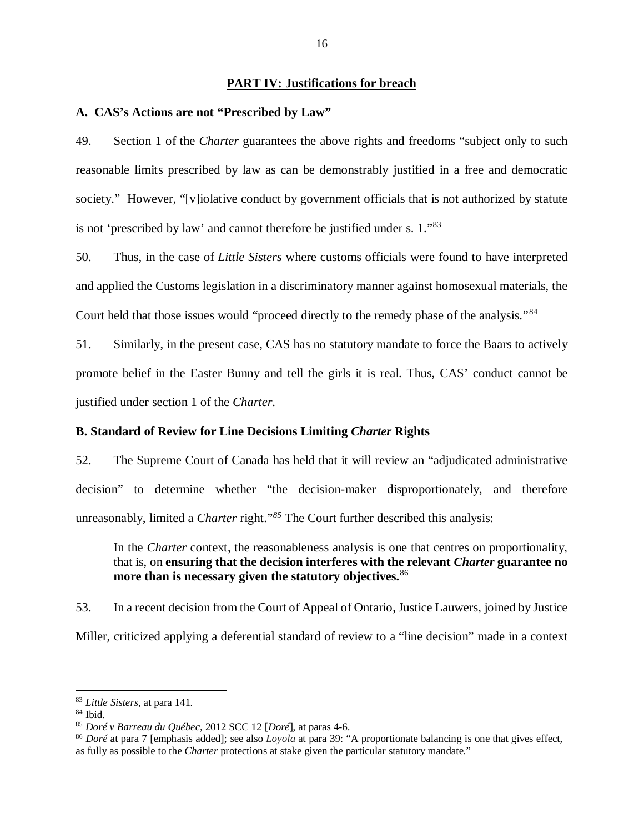### **PART IV: Justifications for breach**

### <span id="page-18-1"></span><span id="page-18-0"></span>**A. CAS's Actions are not "Prescribed by Law"**

49. Section 1 of the *Charter* guarantees the above rights and freedoms "subject only to such reasonable limits prescribed by law as can be demonstrably justified in a free and democratic society." However, "[v]iolative conduct by government officials that is not authorized by statute is not 'prescribed by law' and cannot therefore be justified under s. 1."[83](#page-18-3)

50. Thus, in the case of *Little Sisters* where customs officials were found to have interpreted and applied the Customs legislation in a discriminatory manner against homosexual materials, the Court held that those issues would "proceed directly to the remedy phase of the analysis."<sup>[84](#page-18-4)</sup>

51. Similarly, in the present case, CAS has no statutory mandate to force the Baars to actively promote belief in the Easter Bunny and tell the girls it is real. Thus, CAS' conduct cannot be justified under section 1 of the *Charter*.

#### <span id="page-18-2"></span>**B. Standard of Review for Line Decisions Limiting** *Charter* **Rights**

52. The Supreme Court of Canada has held that it will review an "adjudicated administrative decision" to determine whether "the decision-maker disproportionately, and therefore unreasonably, limited a *Charter* right."<sup>[85](#page-18-5)</sup> The Court further described this analysis:

In the *Charter* context, the reasonableness analysis is one that centres on proportionality, that is, on **ensuring that the decision interferes with the relevant** *Charter* **guarantee no more than is necessary given the statutory objectives.**[86](#page-18-6)

53. In a recent decision from the Court of Appeal of Ontario, Justice Lauwers, joined by Justice Miller, criticized applying a deferential standard of review to a "line decision" made in a context

<span id="page-18-4"></span><span id="page-18-3"></span><sup>83</sup> *Little Sisters*, at para 141.

<span id="page-18-5"></span><sup>84</sup> Ibid. 85 *Doré v Barreau du Québec,* <sup>2012</sup> SCC 12 [*Doré*], at paras 4-6.

<span id="page-18-6"></span><sup>86</sup> *Doré* at para 7 [emphasis added]; see also *Loyola* at para 39: "A proportionate balancing is one that gives effect, as fully as possible to the *Charter* protections at stake given the particular statutory mandate."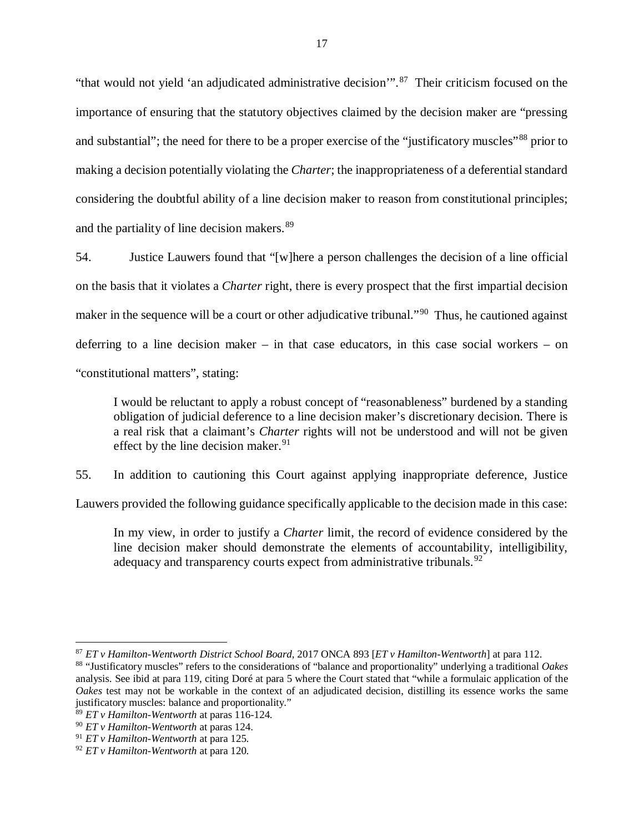"that would not yield 'an adjudicated administrative decision".<sup>[87](#page-19-0)</sup> Their criticism focused on the importance of ensuring that the statutory objectives claimed by the decision maker are "pressing and substantial"; the need for there to be a proper exercise of the "justificatory muscles"<sup>[88](#page-19-1)</sup> prior to making a decision potentially violating the *Charter*; the inappropriateness of a deferential standard considering the doubtful ability of a line decision maker to reason from constitutional principles; and the partiality of line decision makers.<sup>[89](#page-19-2)</sup>

54. Justice Lauwers found that "[w]here a person challenges the decision of a line official on the basis that it violates a *Charter* right, there is every prospect that the first impartial decision maker in the sequence will be a court or other adjudicative tribunal."<sup>90</sup> Thus, he cautioned against deferring to a line decision maker – in that case educators, in this case social workers – on "constitutional matters", stating:

I would be reluctant to apply a robust concept of "reasonableness" burdened by a standing obligation of judicial deference to a line decision maker's discretionary decision. There is a real risk that a claimant's *Charter* rights will not be understood and will not be given effect by the line decision maker.  $91$ 

55. In addition to cautioning this Court against applying inappropriate deference, Justice

Lauwers provided the following guidance specifically applicable to the decision made in this case:

In my view, in order to justify a *Charter* limit, the record of evidence considered by the line decision maker should demonstrate the elements of accountability, intelligibility, adequacy and transparency courts expect from administrative tribunals.  $92^{\circ}$  $92^{\circ}$ 

<span id="page-19-0"></span><sup>87</sup> *ET v Hamilton-Wentworth District School Board*, 2017 ONCA 893 [*ET v Hamilton-Wentworth*] at para 112.

<span id="page-19-1"></span><sup>88</sup> "Justificatory muscles" refers to the considerations of "balance and proportionality" underlying a traditional *Oakes* analysis. See ibid at para 119, citing Doré at para 5 where the Court stated that "while a formulaic application of the *Oakes* test may not be workable in the context of an adjudicated decision, distilling its essence works the same justificatory muscles: balance and proportionality."

<span id="page-19-2"></span><sup>89</sup> *ET v Hamilton-Wentworth* at paras 116-124.

<span id="page-19-3"></span><sup>90</sup> *ET v Hamilton-Wentworth* at paras 124.

<span id="page-19-4"></span><sup>91</sup> *ET v Hamilton-Wentworth* at para 125.

<span id="page-19-5"></span><sup>92</sup> *ET v Hamilton-Wentworth* at para 120.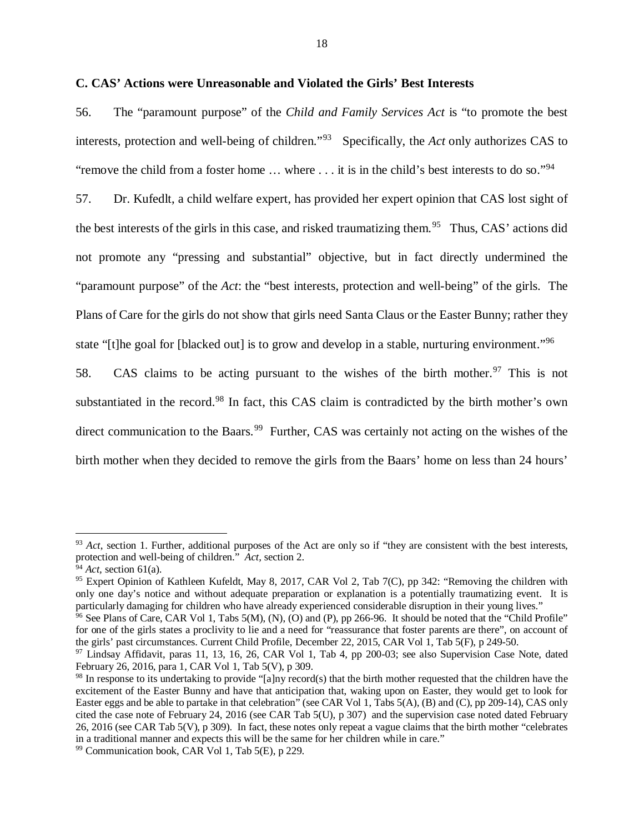#### <span id="page-20-0"></span>**C. CAS' Actions were Unreasonable and Violated the Girls' Best Interests**

56. The "paramount purpose" of the *Child and Family Services Act* is "to promote the best interests, protection and well-being of children."[93](#page-20-1) Specifically, the *Act* only authorizes CAS to "remove the child from a foster home ... where ... it is in the child's best interests to do so."<sup>94</sup>

57. Dr. Kufedlt, a child welfare expert, has provided her expert opinion that CAS lost sight of the best interests of the girls in this case, and risked traumatizing them.<sup>[95](#page-20-3)</sup> Thus, CAS' actions did not promote any "pressing and substantial" objective, but in fact directly undermined the "paramount purpose" of the *Act*: the "best interests, protection and well-being" of the girls. The Plans of Care for the girls do not show that girls need Santa Claus or the Easter Bunny; rather they state "[t]he goal for [blacked out] is to grow and develop in a stable, nurturing environment."<sup>[96](#page-20-4)</sup>

58. CAS claims to be acting pursuant to the wishes of the birth mother.<sup>[97](#page-20-5)</sup> This is not substantiated in the record.<sup>[98](#page-20-6)</sup> In fact, this CAS claim is contradicted by the birth mother's own direct communication to the Baars.<sup>[99](#page-20-7)</sup> Further, CAS was certainly not acting on the wishes of the birth mother when they decided to remove the girls from the Baars' home on less than 24 hours'

<span id="page-20-1"></span><sup>&</sup>lt;sup>93</sup> *Act*, section 1. Further, additional purposes of the Act are only so if "they are consistent with the best interests, protection and well-being of children." *Act,* section 2.

<span id="page-20-2"></span><sup>94</sup> *Act,* section 61(a).

<span id="page-20-3"></span><sup>&</sup>lt;sup>95</sup> Expert Opinion of Kathleen Kufeldt, May 8, 2017, CAR Vol 2, Tab 7(C), pp 342: "Removing the children with only one day's notice and without adequate preparation or explanation is a potentially traumatizing event. It is particularly damaging for children who have already experienced considerable disruption in their young lives.

<span id="page-20-4"></span><sup>&</sup>lt;sup>96</sup> See Plans of Care, CAR Vol 1, Tabs 5(M), (N), (O) and (P), pp 266-96. It should be noted that the "Child Profile" for one of the girls states a proclivity to lie and a need for "reassurance that foster parents are there", on account of the girls' past circumstances. Current Child Profile, December 22, 2015, CAR Vol 1, Tab 5(F), p 249-50.

<span id="page-20-5"></span><sup>&</sup>lt;sup>97</sup> Lindsay Affidavit, paras 11, 13, 16, 26, CAR Vol 1, Tab 4, pp 200-03; see also Supervision Case Note, dated February 26, 2016, para 1, CAR Vol 1, Tab 5(V), p 309.<br><sup>98</sup> In response to its undertaking to provide "[a]ny record(s) that the birth mother requested that the children have the

<span id="page-20-6"></span>excitement of the Easter Bunny and have that anticipation that, waking upon on Easter, they would get to look for Easter eggs and be able to partake in that celebration" (see CAR Vol 1, Tabs 5(A), (B) and (C), pp 209-14), CAS only cited the case note of February 24, 2016 (see CAR Tab 5(U), p 307) and the supervision case noted dated February 26, 2016 (see CAR Tab 5(V), p 309). In fact, these notes only repeat a vague claims that the birth mother "celebrates in a traditional manner and expects this will be the same for her children while in care."

<span id="page-20-7"></span> $99$  Communication book, CAR Vol 1, Tab  $5(E)$ , p 229.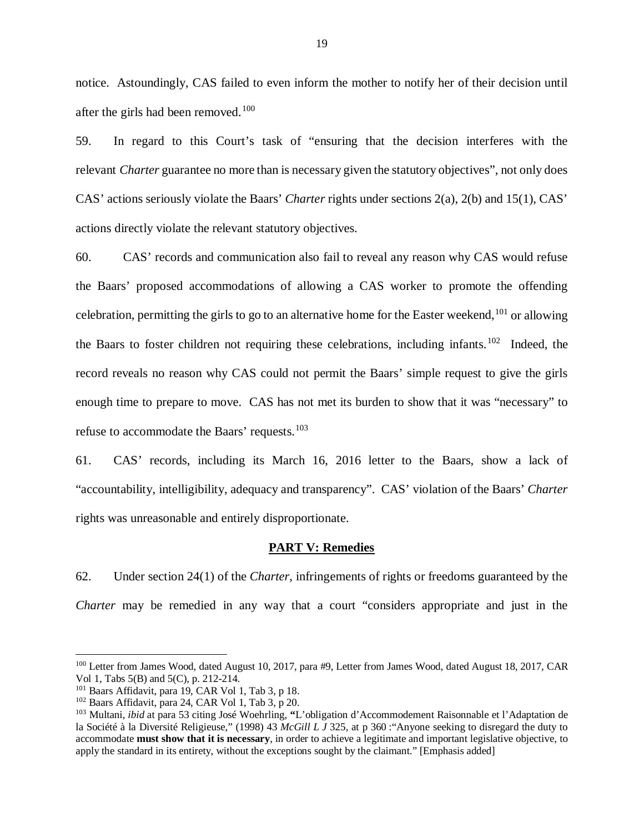notice. Astoundingly, CAS failed to even inform the mother to notify her of their decision until after the girls had been removed.<sup>100</sup>

59. In regard to this Court's task of "ensuring that the decision interferes with the relevant *Charter* guarantee no more than is necessary given the statutory objectives", not only does CAS' actions seriously violate the Baars' *Charter* rights under sections 2(a), 2(b) and 15(1), CAS' actions directly violate the relevant statutory objectives.

60. CAS' records and communication also fail to reveal any reason why CAS would refuse the Baars' proposed accommodations of allowing a CAS worker to promote the offending celebration, permitting the girls to go to an alternative home for the Easter weekend,  $^{101}$  $^{101}$  $^{101}$  or allowing the Baars to foster children not requiring these celebrations, including infants.<sup>102</sup> Indeed, the record reveals no reason why CAS could not permit the Baars' simple request to give the girls enough time to prepare to move. CAS has not met its burden to show that it was "necessary" to refuse to accommodate the Baars' requests.[103](#page-21-4)

61. CAS' records, including its March 16, 2016 letter to the Baars, show a lack of "accountability, intelligibility, adequacy and transparency". CAS' violation of the Baars' *Charter* rights was unreasonable and entirely disproportionate.

#### **PART V: Remedies**

<span id="page-21-0"></span>62. Under section 24(1) of the *Charter*, infringements of rights or freedoms guaranteed by the *Charter* may be remedied in any way that a court "considers appropriate and just in the

<span id="page-21-1"></span><sup>100</sup> Letter from James Wood, dated August 10, 2017, para #9, Letter from James Wood, dated August 18, 2017, CAR Vol 1, Tabs 5(B) and 5(C), p. 212-214.

<span id="page-21-2"></span> $101$  Baars Affidavit, para 19, CAR Vol 1, Tab 3, p 18.

<span id="page-21-3"></span><sup>102</sup> Baars Affidavit, para 24, CAR Vol 1, Tab 3, p 20.

<span id="page-21-4"></span><sup>103</sup> Multani, *ibid* at para 53 citing José Woehrling, **"**L'obligation d'Accommodement Raisonnable et l'Adaptation de la Société à la Diversité Religieuse," (1998) 43 *McGill L J* 325, at p 360 :"Anyone seeking to disregard the duty to accommodate **must show that it is necessary**, in order to achieve a legitimate and important legislative objective, to apply the standard in its entirety, without the exceptions sought by the claimant." [Emphasis added]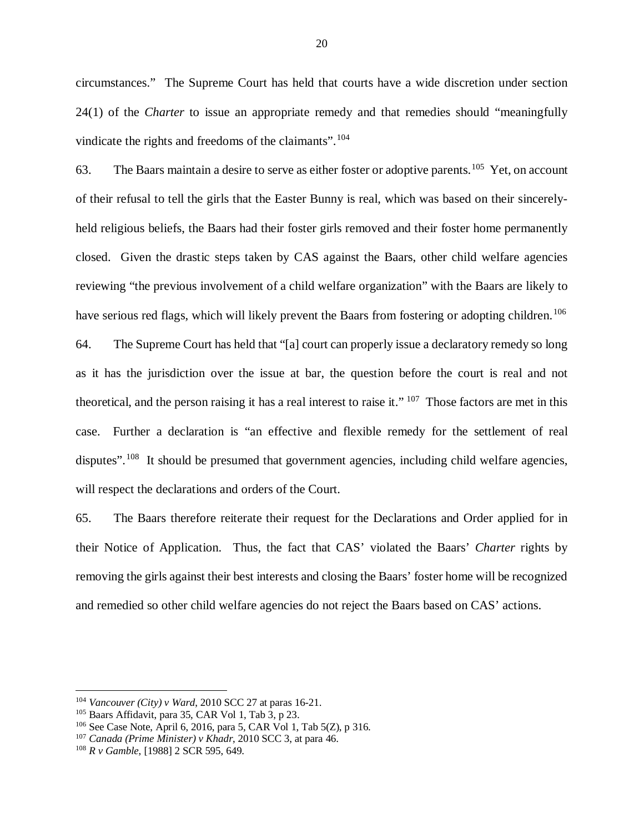circumstances." The Supreme Court has held that courts have a wide discretion under section 24(1) of the *Charter* to issue an appropriate remedy and that remedies should "meaningfully vindicate the rights and freedoms of the claimants".<sup>[104](#page-22-0)</sup>

63. The Baars maintain a desire to serve as either foster or adoptive parents.<sup>105</sup> Yet, on account of their refusal to tell the girls that the Easter Bunny is real, which was based on their sincerelyheld religious beliefs, the Baars had their foster girls removed and their foster home permanently closed. Given the drastic steps taken by CAS against the Baars, other child welfare agencies reviewing "the previous involvement of a child welfare organization" with the Baars are likely to have serious red flags, which will likely prevent the Baars from fostering or adopting children.<sup>[106](#page-22-2)</sup>

64. The Supreme Court has held that "[a] court can properly issue a declaratory remedy so long as it has the jurisdiction over the issue at bar, the question before the court is real and not theoretical, and the person raising it has a real interest to raise it." [107](#page-22-3) Those factors are met in this case. Further a declaration is "an effective and flexible remedy for the settlement of real disputes".<sup>[108](#page-22-4)</sup> It should be presumed that government agencies, including child welfare agencies, will respect the declarations and orders of the Court.

65. The Baars therefore reiterate their request for the Declarations and Order applied for in their Notice of Application. Thus, the fact that CAS' violated the Baars' *Charter* rights by removing the girls against their best interests and closing the Baars' foster home will be recognized and remedied so other child welfare agencies do not reject the Baars based on CAS' actions.

<span id="page-22-0"></span><sup>104</sup> *Vancouver (City) v Ward*, 2010 SCC 27 at paras 16-21.

<span id="page-22-1"></span> $105$  Baars Affidavit, para 35, CAR Vol 1, Tab 3, p 23.

<span id="page-22-2"></span><sup>106</sup> See Case Note, April 6, 2016, para 5, CAR Vol 1, Tab 5(Z), p 316.

<span id="page-22-3"></span><sup>107</sup> *Canada (Prime Minister) v Khadr*, 2010 SCC 3, at para 46.

<span id="page-22-4"></span><sup>108</sup> *R v Gamble*, [1988] 2 SCR 595, 649.